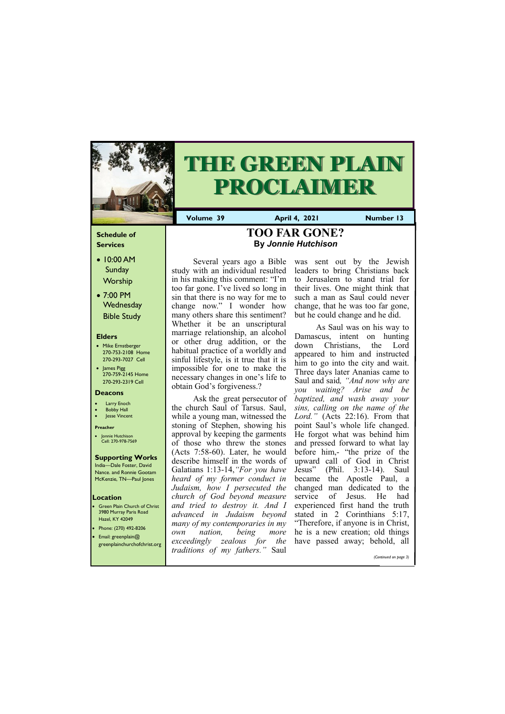### **Schedule of Services**

- 10:00 AM Sunday **Worship**
- 7:00 PM **Wednesday** Bible Study

### **Elders**

- Mike Ernstberger 270-753-2108 Home 270-293-7027 Cell
- James Pigg 270-759-2145 Home 270-293-2319 Cell

- **Green Plain Church of Christ** 3980 Murray Paris Road Hazel, KY 42049 • Phone: (270) 492-8206
- Email: greenplain@



# **THE GREEN PLAIN PROCLAIMER**

#### **Location**

**Volume 39 April 4, 2021 Number 13**

#### **Deacons**

- **Larry Enoch**
- **Bobby Hall**
- Jesse Vincent

#### **Preacher**

• Jonnie Hutchison Cell: 270-978-7569

### **Supporting Works**

Ask the great persecutor of the church Saul of Tarsus. Saul, while a young man, witnessed the stoning of Stephen, showing his approval by keeping the garments of those who threw the stones (Acts 7:58-60). Later, he would describe himself in the words of Galatians 1:13-14,*"For you have heard of my former conduct in Judaism, how I persecuted the church of God beyond measure and tried to destroy it. And I advanced in Judaism beyond many of my contemporaries in my own nation, being* 

India—Dale Foster, David Nance. and Ronnie Gootam McKenzie, TN—Paul Jones

Several years ago a Bible study with an individual resulted in his making this comment: "I'm too far gone. I've lived so long in sin that there is no way for me to change now." I wonder how many others share this sentiment? Whether it be an unscriptural marriage relationship, an alcohol or other drug addition, or the habitual practice of a worldly and sinful lifestyle, is it true that it is impossible for one to make the necessary changes in one's life to obtain God's forgiveness.?

As Saul was on his way to Damascus, intent on hunting down Christians, the Lord appeared to him and instructed him to go into the city and wait. Three days later Ananias came to Saul and said*, "And now why are you waiting? Arise and be baptized, and wash away your sins, calling on the name of the Lord."* (Acts 22:16). From that point Saul's whole life changed. He forgot what was behind him and pressed forward to what lay before him,- "the prize of the upward call of God in Christ Jesus" (Phil. 3:13-14). Saul became the Apostle Paul, a changed man dedicated to the service of Jesus. He had experienced first hand the truth stated in 2 Corinthians 5:17, "Therefore, if anyone is in Christ, more he is a new creation; old things

| $\bullet$ conduction in the control extending $\alpha$<br>greenplainchurchofchrist.org | <i>exceedingly zealous for the have passed away</i> ; behold, all<br><i>traditions of my fathers.</i> " Saul |  |  |  |                       |  |
|----------------------------------------------------------------------------------------|--------------------------------------------------------------------------------------------------------------|--|--|--|-----------------------|--|
|                                                                                        |                                                                                                              |  |  |  | (Continued on page 3) |  |

was sent out by the Jewish leaders to bring Christians back to Jerusalem to stand trial for their lives. One might think that such a man as Saul could never change, that he was too far gone, but he could change and he did.

### **TOO FAR GONE? By** *Jonnie Hutchison*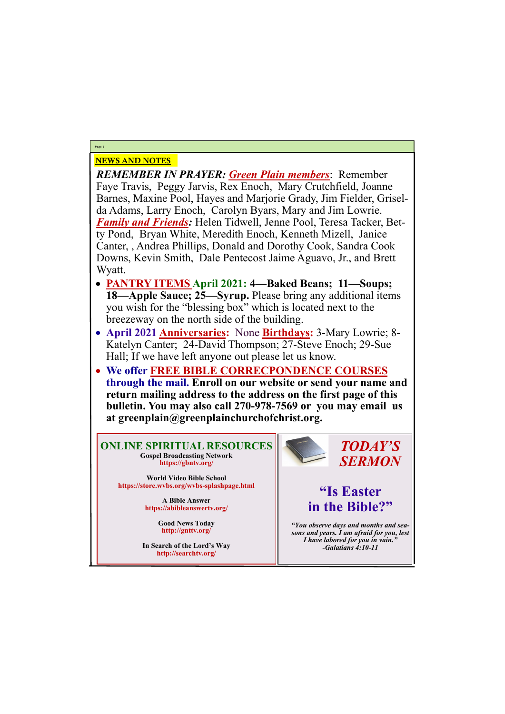### NEWS AND NOTES

*REMEMBER IN PRAYER: Green Plain members*: Remember Faye Travis, Peggy Jarvis, Rex Enoch, Mary Crutchfield, Joanne Barnes, Maxine Pool, Hayes and Marjorie Grady, Jim Fielder, Griselda Adams, Larry Enoch, Carolyn Byars, Mary and Jim Lowrie. *Family and Friends:* Helen Tidwell, Jenne Pool, Teresa Tacker, Betty Pond, Bryan White, Meredith Enoch, Kenneth Mizell, Janice Canter, , Andrea Phillips, Donald and Dorothy Cook, Sandra Cook Downs, Kevin Smith, Dale Pentecost Jaime Aguavo, Jr., and Brett Wyatt.

- **PANTRY ITEMS April 2021: 4—Baked Beans; 11—Soups; 18—Apple Sauce; 25—Syrup.** Please bring any additional items you wish for the "blessing box" which is located next to the breezeway on the north side of the building.
- **April 2021 Anniversaries:** None **Birthdays:** 3-Mary Lowrie; 8- Katelyn Canter; 24-David Thompson; 27-Steve Enoch; 29-Sue Hall; If we have left anyone out please let us know.
- **We offer FREE BIBLE CORRECPONDENCE COURSES through the mail. Enroll on our website or send your name and return mailing address to the address on the first page of this bulletin. You may also call 270-978-7569 or you may email us at greenplain@greenplainchurchofchrist.org.**

**Page 2**

**ONLINE SPIRITUAL RESOURCES Gospel Broadcasting Network https://gbntv.org/**

**World Video Bible School https://store.wvbs.org/wvbs-splashpage.html**

> **A Bible Answer https://abibleanswertv.org/**

> > **Good News Today http://gnttv.org/**



**In Search of the Lord's Way http://searchtv.org/**

*TODAY'S SERMON*

# **"Is Easter in the Bible?"**

*"You observe days and months and seasons and years. I am afraid for you, lest I have labored for you in vain." -Galatians 4:10-11*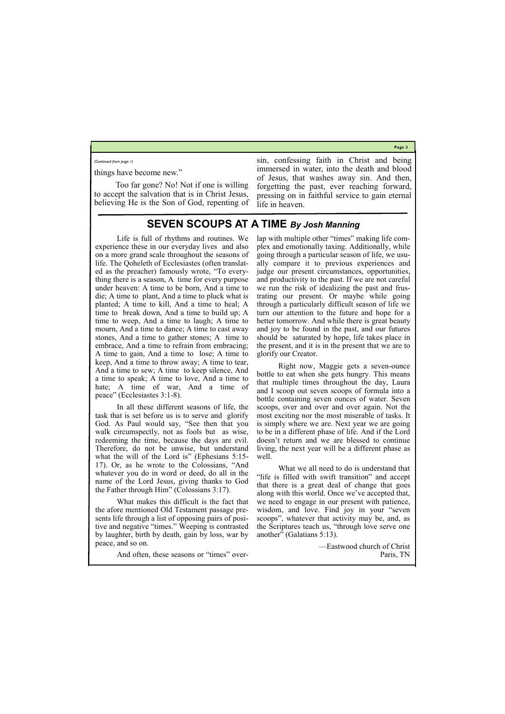**Page 3**

things have become new."

Too far gone? No! Not if one is willing to accept the salvation that is in Christ Jesus, believing He is the Son of God, repenting of sin, confessing faith in Christ and being immersed in water, into the death and blood of Jesus, that washes away sin. And then, forgetting the past, ever reaching forward, pressing on in faithful service to gain eternal life in heaven.

*(Continued from page 1)*

### **SEVEN SCOUPS AT A TIME** *By Josh Manning*

Life is full of rhythms and routines. We experience these in our everyday lives and also on a more grand scale throughout the seasons of life. The Qoheleth of Ecclesiastes (often translated as the preacher) famously wrote, "To everything there is a season, A time for every purpose under heaven: A time to be born, And a time to die; A time to plant, And a time to pluck what is planted; A time to kill, And a time to heal; A time to break down, And a time to build up; A time to weep, And a time to laugh; A time to mourn, And a time to dance; A time to cast away stones, And a time to gather stones; A time to embrace, And a time to refrain from embracing; A time to gain, And a time to lose; A time to keep, And a time to throw away; A time to tear, And a time to sew; A time to keep silence, And a time to speak; A time to love, And a time to hate; A time of war, And a time of peace" (Ecclesiastes 3:1-8).

In all these different seasons of life, the task that is set before us is to serve and glorify God. As Paul would say, "See then that you walk circumspectly, not as fools but as wise, redeeming the time, because the days are evil. Therefore, do not be unwise, but understand what the will of the Lord is" (Ephesians 5:15-17). Or, as he wrote to the Colossians, "And whatever you do in word or deed, do all in the name of the Lord Jesus, giving thanks to God the Father through Him" (Colossians 3:17).

What makes this difficult is the fact that the afore mentioned Old Testament passage presents life through a list of opposing pairs of positive and negative "times." Weeping is contrasted by laughter, birth by death, gain by loss, war by

peace, and so on.

And often, these seasons or "times" over-

lap with multiple other "times" making life complex and emotionally taxing. Additionally, while going through a particular season of life, we usually compare it to previous experiences and judge our present circumstances, opportunities, and productivity to the past. If we are not careful we run the risk of idealizing the past and frustrating our present. Or maybe while going through a particularly difficult season of life we turn our attention to the future and hope for a better tomorrow. And while there is great beauty and joy to be found in the past, and our futures should be saturated by hope, life takes place in the present, and it is in the present that we are to glorify our Creator.

Right now, Maggie gets a seven-ounce bottle to eat when she gets hungry. This means that multiple times throughout the day, Laura and I scoop out seven scoops of formula into a bottle containing seven ounces of water. Seven scoops, over and over and over again. Not the most exciting nor the most miserable of tasks. It is simply where we are. Next year we are going to be in a different phase of life. And if the Lord doesn't return and we are blessed to continue living, the next year will be a different phase as well.

What we all need to do is understand that "life is filled with swift transition" and accept that there is a great deal of change that goes along with this world. Once we've accepted that, we need to engage in our present with patience, wisdom, and love. Find joy in your "seven scoops", whatever that activity may be, and, as the Scriptures teach us, "through love serve one another" (Galatians 5:13).

> —Eastwood church of Christ Paris, TN